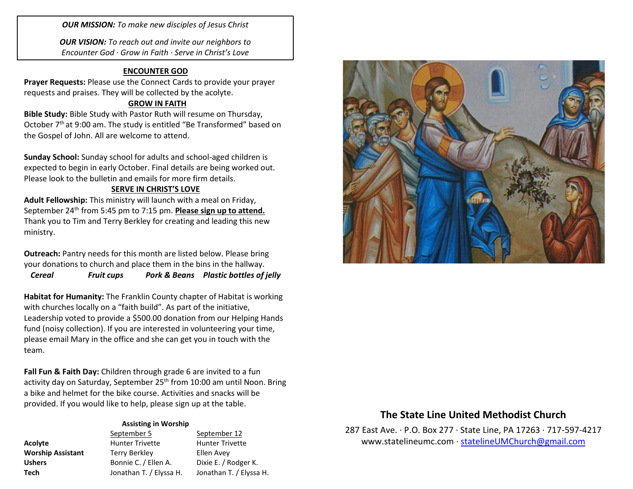*OUR MISSION: To make new disciples of Jesus Christ*

*OUR VISION: To reach out and invite our neighbors to Encounter God · Grow in Faith · Serve in Christ's Love*

### **ENCOUNTER GOD**

**Prayer Requests:** Please use the Connect Cards to provide your prayer requests and praises. They will be collected by the acolyte.

## **GROW IN FAITH**

**Bible Study:** Bible Study with Pastor Ruth will resume on Thursday, October 7<sup>th</sup> at 9:00 am. The study is entitled "Be Transformed" based on the Gospel of John. All are welcome to attend.

**Sunday School:** Sunday school for adults and school-aged children is expected to begin in early October. Final details are being worked out. Please look to the bulletin and emails for more firm details.

#### **SERVE IN CHRIST'S LOVE**

**Adult Fellowship:** This ministry will launch with a meal on Friday, September 24<sup>th</sup> from 5:45 pm to 7:15 pm. **Please sign up to attend.** Thank you to Tim and Terry Berkley for creating and leading this new ministry.

**Outreach:** Pantry needs for this month are listed below. Please bring your donations to church and place them in the bins in the hallway.

*Cereal Fruit cups Pork & Beans Plastic bottles of jelly*

**Habitat for Humanity:** The Franklin County chapter of Habitat is working with churches locally on a "faith build". As part of the initiative, Leadership voted to provide a \$500.00 donation from our Helping Hands fund (noisy collection). If you are interested in volunteering your time, please email Mary in the office and she can get you in touch with the team.

**Fall Fun & Faith Day:** Children through grade 6 are invited to a fun activity day on Saturday, September 25th from 10:00 am until Noon. Bring a bike and helmet for the bike course. Activities and snacks will be provided. If you would like to help, please sign up at the table.

#### **Assisting in Worship**

|                          | September 5             | September 12            |
|--------------------------|-------------------------|-------------------------|
| Acolyte                  | <b>Hunter Trivette</b>  | <b>Hunter Trivette</b>  |
| <b>Worship Assistant</b> | <b>Terry Berkley</b>    | Ellen Avey              |
| <b>Ushers</b>            | Bonnie C. / Ellen A.    | Dixie E. / Rodger K.    |
| Tech                     | Jonathan T. / Elyssa H. | Jonathan T. / Elyssa H. |



# **The State Line United Methodist Church**

287 East Ave. · P.O. Box 277 · State Line, PA 17263 · 717-597-4217 [www.statelineumc.com](http://www.statelineumc.com/) · [statelineUMChurch@gmail.com](mailto:statelineUMChurch@gmail.com)